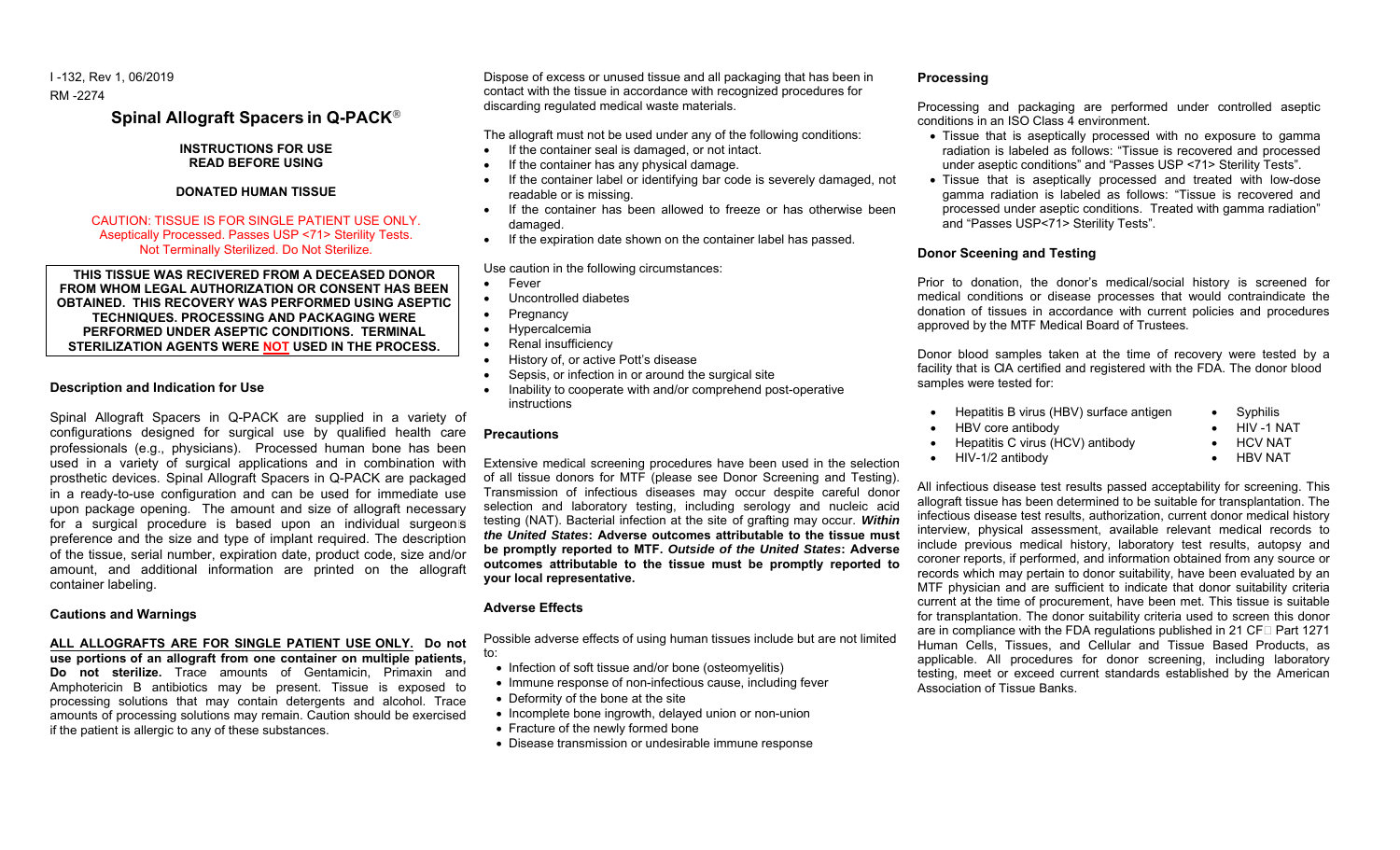I -132, Rev 1, 06/2019 RM -2274

**Spinal Allograft Spacers in Q-PACK**

# **INSTRUCTIONS FOR USE READ BEFORE USING**

### **DONATED HUMAN TISSUE**

# CAUTION: TISSUE IS FOR SINGLE PATIENT USE ONLY. Aseptically Processed. Passes USP <71> Sterility Tests. Not Terminally Sterilized. Do Not Sterilize.

**THIS TISSUE WAS RECIVERED FROM A DECEASED DONOR** FROM WHOM LEGAL AUTHORIZATION OR CONSENT HAS BEEN **OBTAINED. THIS RECOVERY WAS PERFORMED USING ASEPTIC TECHNIQUES. PROCESSING AND PACKAGING WERE**  PERFORMED UNDER ASEPTIC CONDITIONS. TERMINAL STERILIZATION AGENTS WERE NOT USED IN THE PROCESS.

### **Description and Indication for Use**

Spinal Allograft Spacers in Q-PACK are supplied in a variety of configurations designed for surgical use by qualified health care professionals (e.g., physicians). Processed human bone has been used in a variety of surgical applications and in combination with prosthetic devices. Spinal Allograft Spacers in Q-PACK are packaged in a ready-to-use configuration and can be used for immediate use upon package opening. The amount and size of allograft necessary for a surgical procedure is based upon an individual surgeon's preference and the size and type of implant required. The description of the tissue, serial number, expiration date, product code, size and/or amount, and additional information are printed on the allograft container labeling.

### **Cautions and Warnings**

### **ALL ALLOGRAFTS ARE FOR SINGLE PATIENT USE ONLY. Do not use portions of an allograft from one container on multiple patients, Do not sterilize.** Trace amounts of Gentamicin, Primaxin and Amphotericin B antibiotics may be present. Tissue is exposed to processing solutions that may contain detergents and alcohol. Trace amounts of processing solutions may remain. Caution should be exercised if the patient is allergic to any of these substances.

Dispose of excess or unused tissue and all packaging that has been in contact with the tissue in accordance with recognized procedures for discarding regulated medical waste materials.

The allograft must not be used under any of the following conditions:

- If the container seal is damaged, or not intact.
- If the container has any physical damage.
- If the container label or identifying bar code is severely damaged, not readable or is missing.
- If the container has been allowed to freeze or has otherwise been damaged.
- If the expiration date shown on the container label has passed.

Use caution in the following circumstances:

- Fever
- Uncontrolled diabetes
- Pregnancy
- **Hypercalcemia**
- Renal insufficiency
- History of, or active Pott's disease
- Sepsis, or infection in or around the surgical site
- Inability to cooperate with and/or comprehend post-operative instructions

# **Precautions**

Extensive medical screening procedures have been used in the selection of all tissue donors for MTF (please see Donor Screening and Testing). Transmission of infectious diseases may occur despite careful donor selection and laboratory testing, including serology and nucleic acid testing (NAT). Bacterial infection at the site of grafting may occur. *Within the United States***: Adverse outcomes attributable to the tissue must be promptly reported to MTF.** *Outside of the United States***: Adverse outcomes attributable to the tissue must be promptly reported to your local representative.**

## **Adverse Effects**

Possible adverse effects of using human tissues include but are not limited to:

- Infection of soft tissue and/or bone (osteomyelitis)
- Immune response of non-infectious cause, including fever
- Deformity of the bone at the site
- Incomplete bone ingrowth, delayed union or non-union
- Fracture of the newly formed bone
- Disease transmission or undesirable immune response

# **Processing**

Processing and packaging are performed under controlled aseptic conditions in an ISO Class 4 environment.

- Tissue that is aseptically processed with no exposure to gamma radiation is labeled as follows: "Tissue is recovered and processed under aseptic conditions" and "Passes USP <71> Sterility Tests".
- Tissue that is aseptically processed and treated with low-dose gamma radiation is labeled as follows: "Tissue is recovered and processed under aseptic conditions. Treated with gamma radiation" and "Passes USP<71> Sterility Tests".

# **Donor Sceening and Testing**

Prior to donation, the donor's medical/social history is screened for medical conditions or disease processes that would contraindicate the donation of tissues in accordance with current policies and procedures approved by the MTF Medical Board of Trustees.

Donor blood samples taken at the time of recovery were tested by a facility that is CIA certified and registered with the FDA. The donor blood samples were tested for:

| Hepatitis B virus (HBV) surface antigen | Syphilis   |
|-----------------------------------------|------------|
| HBV core antibody                       | HIV -1 NAT |

• Hepatitis C virus (HCV) antibody

• HIV-1/2 antibody

- HCV NAT
	- HBV NAT

All infectious disease test results passed acceptability for screening. This allograft tissue has been determined to be suitable for transplantation. The infectious disease test results, authorization, current donor medical history interview, physical assessment, available relevant medical records to include previous medical history, laboratory test results, autopsy and coroner reports, if performed, and information obtained from any source or records which may pertain to donor suitability, have been evaluated by an MTF physician and are sufficient to indicate that donor suitability criteria current at the time of procurement, have been met. This tissue is suitable for transplantation. The donor suitability criteria used to screen this donor are in compliance with the FDA regulations published in 21 CFR Part 1271 Human Cells, Tissues, and Cellular and Tissue Based Products, as applicable. All procedures for donor screening, including laboratory testing, meet or exceed current standards established by the American Association of Tissue Banks.